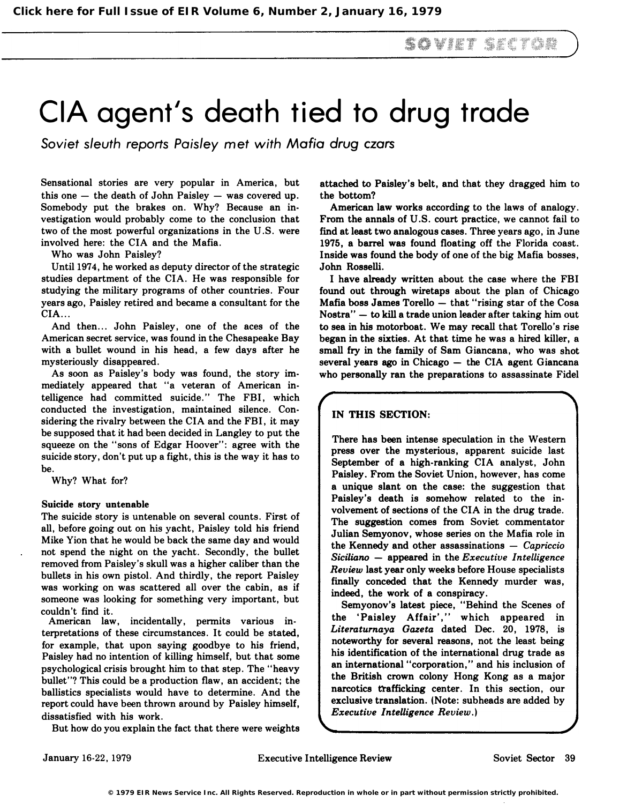# CIA agent's death tied to drug trade

Soviet sleuth reports Paisley met with Mafia drug czars

Sensational stories are very popular in America, but this one  $-$  the death of John Paisley  $-$  was covered up. Somebody put the brakes on. Why? Because an investigation would probably come to the conclusion that two of the most powerful organizations in the U.S. were involved here: the CIA and the Mafia.

Who was John Paisley?

Until 1974, he worked as deputy director of the strategic studies department of the CIA. He was responsible for studying the military programs of other countries. Four years ago, Paisley retired and became a consultant for the CIA ...

And then... John Paisley, one of the aces of the American secret service, was found in the Chesapeake Bay with a bullet wound in his head, a few days after he mysteriously disappeared.

As soon as Paisley's body was found, the story immediately appeared that "a veteran of American intelligence had committed suicide." The FBI, which conducted the investigation, maintained silence. Considering the rivalry between the CIA and the FBI, it may be supposed that it had been decided in Langley to put the squeeze on the "sons of Edgar Hoover": agree with the suicide story, don't put up a fight, this is the way it has to be.

Why? What for?

#### Suicide story untenable

The suicide story is untenable on several counts. First of all, before going out on his yacht, Paisley told his friend Mike Yion that he would be back the same day and would not spend the night on the yacht. Secondly, the bullet removed from Paisley's skull was a higher caliber than the bullets in his own pistol. And thirdly, the report Paisley was working on was scattered all over the cabin, as if someone was looking for something very important, but couldn't find it.

American law, incidentally, permits various in· terpretations of these circumstances. It could be stated, for example, that upon saying goodbye to his friend, Paisley had no intention of killing himself, but that some psychological crisis brought him to that step. The "heavy bullet"? This could be a production flaw, an accident; the ballistics specialists would have to determine. And the report could have been thrown around by Paisley himself, dissatisfied with his work.

But how do you explain the fact that there were weights

attached to Paisley's belt, and that they dragged him to the bottom?

American law works according to the laws of analogy. From the annals of U.S. court practice, we cannot fail to find at least two analogous cases. Three years ago, in June 1975, a barrel was found floating off the Florida coast. Inside was found the body of one of the big Mafia bosses, John Rosselli.

I have already written about the case where the FBI found out through wiretaps about the plan of Chicago Mafia boss James Torello  $-$  that "rising star of the Cosa Nostra" - to kill a trade union leader after taking him out to sea in his motorboat. We may recall that Torello's rise began in the sixties. At that time he was a hired killer, a small fry in the family of Sam Giancana, who was shot several years ago in Chicago - the CIA agent Giancana who personally ran the preparations to assassinate Fidel

## IN THIS SECTION:

There has been intense speculation in the Western press over the mysterious, apparent suicide last September of a high-ranking CIA analyst, John Paisley. From the Soviet Union, however, has come a unique slant on the case: the suggestion that Paisley's death is somehow related to the involvement of sections of the CIA in the drug trade. The suggestion comes from Soviet commentator Julian Semyonov, whose series on the Mafia role in the Kennedy and other assassinations  $-$  Capriccio Siciliano  $-$  appeared in the Executive Intelligence Review last year only weeks before House specialists finally conceded that the Kennedy murder was, indeed, the work of a conspiracy.

Semyonov's latest piece, "Behind the Scenes of the 'Paisley Affair'," which appeared in Literaturnaya Gazeta dated Dec. 20, 1978, is noteworthy for several reasons, not the least being his identification of the international drug trade as an international "corporation," and his inclusion of the British crown colony Hong Kong as a major narcotics trafficking center. In this section, our exclusive translation. (Note: subheads are added by Executive Intelligence Review.)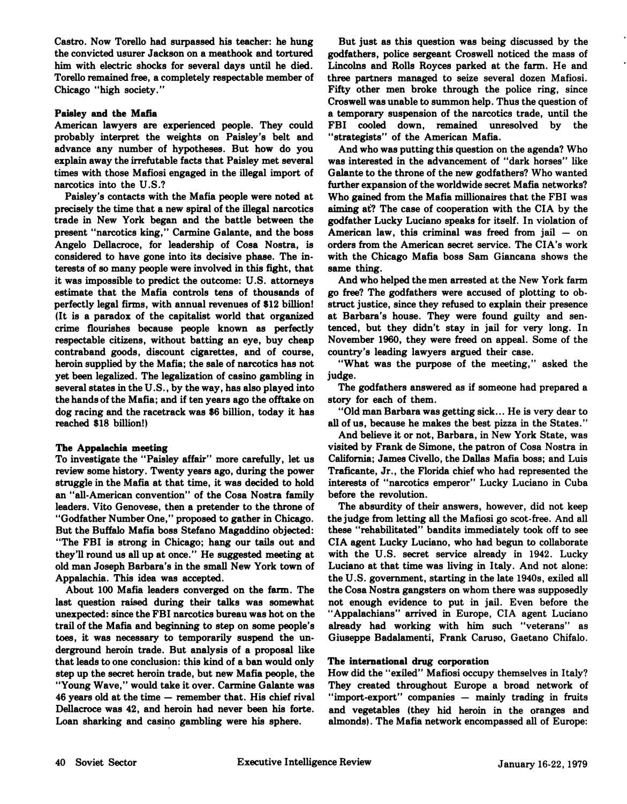Castro. Now Torello had surpassed his teacher: he hung the convicted usurer Jackson on a meathook and tortured him with electric shocks for several days until he died. Torello remained free, a completely respectable member of Chicago "high society."

#### Paisley and the Mafia

American lawyers are experienced people. They could probably interpret the weights on Paisley's belt and advance any number of hypotheses. But how do you explain away the irrefutable facts that Paisley met several times with those Mafiosi engaged in the illegal import of narcotics into the U.S.?

Paisley's contacts with the Mafia people were noted at precisely the time that a new spiral of the illegal narcotics trade in New York began and the battle between the present "narcotics king," Carmine Galante, and the boss Angelo Dellacroce, for leadership of Cosa Nostra, is considered to have gone into its decisive phase. The in· terests of so many people were involved in this fight, that it was impossible to predict the outcome: U.S. attorneys estimate that the Mafia controls tens of thousands of perfectly legal firms, with annual revenues of \$12 billion! (It is a paradox of the capitalist world that organized crime flourishes because people known as perfectly respectable citizens, without batting an eye, buy cheap contraband goods, discount cigarettes, and of course, heroin supplied by the Mafia; the sale of narcotics has not yet been legalized. The legalization of casino gambling in several states in the U.S., by the way, has also played into the hands of the Mafia; and if ten years ago the offtake on dog racing and the racetrack was \$6 billion, today it has reached \$18 billion!)

## The Appalachia meeting

To investigate the "Paisley affair" more carefully, let us review some history. Twenty years ago, during the power struggle in the Mafia at that time, it was decided to hold an "all·American convention" of the Cosa Nostra family leaders. Vito Genovese, then a pretender to the throne of "Godfather Number One," proposed to gather in Chicago. But the Buffalo Mafia boss Stefano Magaddino objected: "The FBI is strong in Chicago; hang our tails out and they'll round us all up at once." He suggested meeting at old man Joseph Barbara's in the small New York town of Appalachia. This idea was accepted.

About 100 Mafia leaders converged on the farm. The last question raised during their talks was somewhat unexpected: since the FBI narcotics bureau was hot on the trail of the Mafia and beginning to step on some people's toes, it was necessary to temporarily suspend the un· derground heroin trade. But analysis of a proposal like that leads to one conclusion: this kind of a ban would only step up the secret heroin trade, but new Mafia people, the "Young Wave," would take it over. Carmine Galante was 46 years old at the time - remember that. His chief rival Dellacroce was 42, and heroin had never been his forte. Loan sharking and casino gambling were his sphere.

But just as this question was being discussed by the godfathers, police sergeant Croswell noticed the mass of Lincolns and Rolls Royces parked at the farm. He and three partners managed to seize several dozen Mafiosi. Fifty other men broke through the police ring, since Croswell was unable to summon help. Thus the question of a temporary suspension of the narcotics trade, until the FBI cooled down, remained unresolved by the "strategists" of the American Mafia.

And who was putting this question on the agenda? Who was interested in the advancement of "dark horses" like Galante to the throne of the new godfathers? Who wanted further expansion of the worldwide secret Mafia networks? Who gained from the Mafia millionaires that the FBI was aiming at? The case of cooperation with the CIA by the godfather Lucky Luciano speaks for itself. In violation of American law, this criminal was freed from jail  $-$  on orders from the American secret service. The CIA's work with the Chicago Mafia boss Sam Giancana shows the same thing.

And who helped the men arrested at the New York farm go free? The godfathers were accused of plotting to ob· struct justice, since they refused to explain their presence at Barbara's house. They were found guilty and sen· tenced, but they didn't stay in jail for very long. In November 1960, they were freed on appeal. Some of the country's leading lawyers argued their case.

"What was the purpose of the meeting," asked the judge.

The godfathers answered as if someone had prepared a story for each of them.

"Old man Barbara was getting sick ... He is very dear to all of us, because he makes the best pizza in the States."

And believe it or not, Barbara, in New York State, was visited by Frank de Simone, the patron of Cosa Nostra in California; James Civello, the Dallas Mafia boss; and Luis Traficante, Jr., the Florida chief who had represented the interests of "narcotics emperor" Lucky Luciano in Cuba before the revolution.

The absurdity of their answers, however, did not keep the judge from letting all the Mafiosi go scot· free. And all these "rehabilitated" bandits immediately took off to see CIA agent Lucky Luciano, who had begun to collaborate with the U.S. secret service already in 1942. Lucky Luciano at that time was living in Italy. And not alone: the U.S. government, starting in the late 1940s, exiled all the Cosa Nostra gangsters on whom there was supposedly not enough evidence to put in jail. Even before the "Appalachians" arrived in Europe, CIA agent Luciano already had working with him such "veterans" as Giuseppe Badalamenti, Frank Caruso, Gaetano Chifalo.

## The international drug corporation

How did the "exiled" Mafiosi occupy themselves in Italy? They created throughout Europe a broad network of "import-export" companies - mainly trading in fruits and vegetables (they hid heroin in the oranges and almonds). The Mafia network encompassed all of Europe: